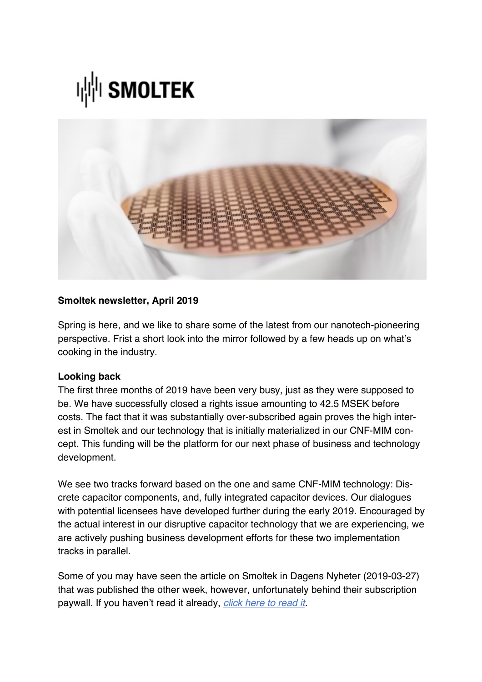



## **Smoltek newsletter, April 2019**

Spring is here, and we like to share some of the latest from our nanotech-pioneering perspective. Frist a short look into the mirror followed by a few heads up on what's cooking in the industry.

## **Looking back**

The first three months of 2019 have been very busy, just as they were supposed to be. We have successfully closed a rights issue amounting to 42.5 MSEK before costs. The fact that it was substantially over-subscribed again proves the high interest in Smoltek and our technology that is initially materialized in our CNF-MIM concept. This funding will be the platform for our next phase of business and technology development.

We see two tracks forward based on the one and same CNF-MIM technology: Discrete capacitor components, and, fully integrated capacitor devices. Our dialogues with potential licensees have developed further during the early 2019. Encouraged by the actual interest in our disruptive capacitor technology that we are experiencing, we are actively pushing business development efforts for these two implementation tracks in parallel.

Some of you may have seen the article on Smoltek in Dagens Nyheter (2019-03-27) that was published the other week, however, unfortunately behind their subscription paywall. If you haven't read it already, *[click here to read it.](https://www.dn.se/ekonomi/i-rena-rummet-utvecklas-framtidens-kretskort/)*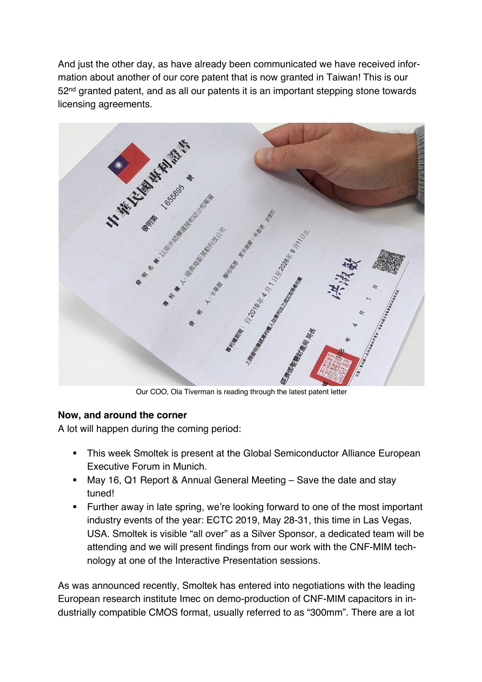And just the other day, as have already been communicated we have received information about another of our core patent that is now granted in Taiwan! This is our 52<sup>nd</sup> granted patent, and as all our patents it is an important stepping stone towards licensing agreements.



Our COO, Ola Tiverman is reading through the latest patent letter

## **Now, and around the corner**

A lot will happen during the coming period:

- **This week Smoltek is present at the Global Semiconductor Alliance European** Executive Forum in Munich.
- May 16, Q1 Report & Annual General Meeting Save the date and stay tuned!
- Further away in late spring, we're looking forward to one of the most important industry events of the year: ECTC 2019, May 28-31, this time in Las Vegas, USA. Smoltek is visible "all over" as a Silver Sponsor, a dedicated team will be attending and we will present findings from our work with the CNF-MIM technology at one of the Interactive Presentation sessions.

As was announced recently, Smoltek has entered into negotiations with the leading European research institute Imec on demo-production of CNF-MIM capacitors in industrially compatible CMOS format, usually referred to as "300mm". There are a lot